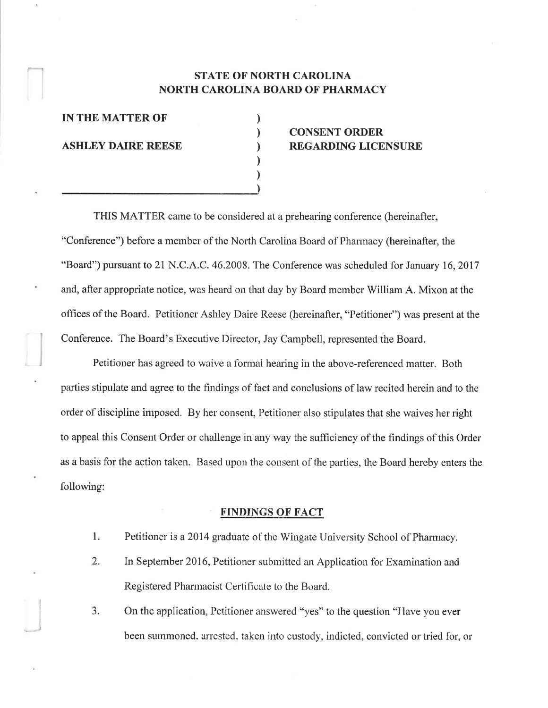## STATE OF NORTH CAROLINA NORTH CAROLINA BOARD OF PHARMACY

) ) ) ) ) )

IN THE MATTER OF

ASHLEY DAIRE REESE

)

# CONSENT ORDER REGARDING LICENSURE

THIS MATTER came to be considered at a prehearing conference (hereinafter, "Conference") before a member of the North Carolina Board of Pharmacy (hereinafter, the "Board") pursuant to 21 N.C.A.C. 46.2008. The Conference was scheduled for January 16, 2017 and, after appropriate notice, was heard on that day by Board member William A. Mixon at the offices of the Board. Petitioner Ashley Daire Reese (hereinafter, "Petitioner") was present at the Conference. The Board's Executive Director, Jay Campbell, represented the Board.

Petitioner has agreed to waive a formal hearing in the above-referenced matter. Both parties stipulate and agree to the tindings of fact and conclusions of law recited herein and to the order of discipline imposed. By her consent, Petitioner also stipulates that she waives her right to appeal this Consent Ordcr or challenge in any way the sufficiency of the findings of this Order as a basis for the action taken. Based upon the consent of the parties, the Board hereby enters the following:

## FINDINGS OF FACT

- 1. Petitioner is a 2014 graduate of the Wingate University School of Pharmacy.
- 2. In September 2016, Petitioner subrnitted an Application for Examination and Registered Pharmacist Certificate to the Board.
- 3. On the application, Petitioner answered "yes" to the question "Have you ever been summoned, arrested, taken into custody, indicted, convicted or tried for, or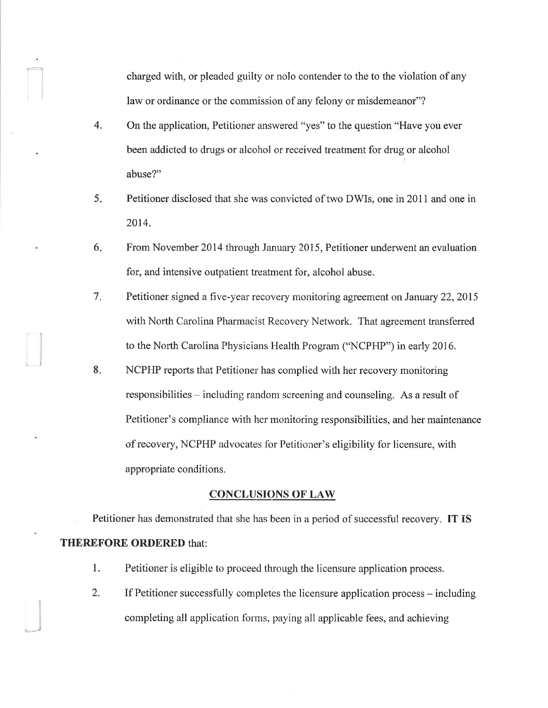charged with, or pleaded guilty or nolo contender to the to the violation of any law or ordinance or the commission of any felony or misdemeanor"?

4. On the application, Petitioner answered "yes" to the question "Have you ever been addicted to drugs or alcohol or received treatment for drug or alcohol abuse?"

 $\overline{\phantom{a}}$ 

- Petitioner disclosed that she was convicted of two DWIs, one in 2011 and one in 2014. 5.
- From November 2014 through January 2015, Petitioner underwent an evaluation for, and intensive outpatient treatment for, alcohol abuse. 6
- Petitioner signed a five-year recovery monitoring agreement on January 22,2015 with North Carolina Pharmacist Recovery Network. That agreement transferred to the North Carolina Physicians Health Program ("NCPHP") in early 2016.  $7<sub>r</sub>$
- NCPHP reports that Petitioner has complied with her recovery monitoring responsibilities – including random screening and counseling. As a result of Petitioner's compliance with her monitoring responsibilities, and her mainfenance of recovery, NCPHP advocates for Petitioner's eligibility for licensure, with appropriate conditions. 8.

#### **CONCLUSIONS OF LAW**

Petitioner has demonstrated that she has been in a period of successful recovery. IT IS THEREFORE ORDERED that:

- 1. Petitioner is eligible to proceed through the licensure application process.
- 2. If Petitioner successfully completes the licensure application process including completing all application forms, paying all applicable fees, and achieving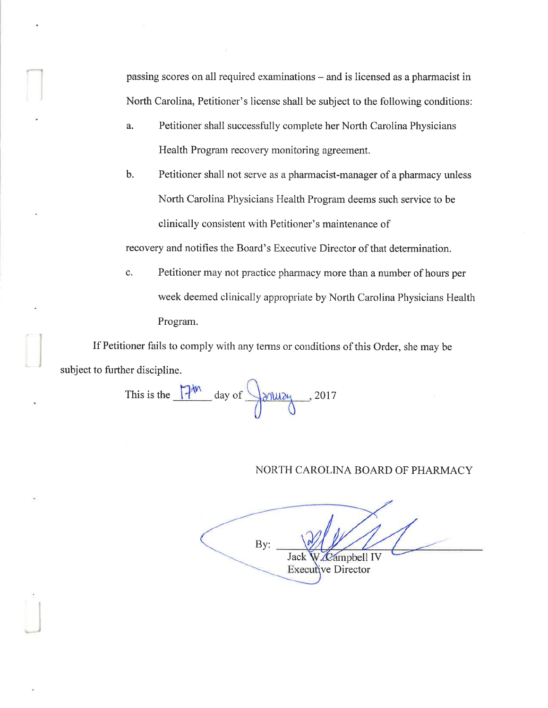passing scores on all required examinations – and is licensed as a pharmacist in North Carolina, Petitioner's license shall be subject to the following conditions:

- a. Petitioner shall successfully complete her North Carolina Physicians Health Program recovery monitoring agreement.
- b. Petitioner shall not serve as a pharmacist-manager of a pharmacy unless North Carolina Physicians Health Program deems such service to be clinically consistent with Petitioner's maintenance of

recovery and notifies the Board's Executive Director of that determination.

c. Petitioner may not practice pharmacy more than a number of hours per week deemed clinically appropriate by North Carolina Physicians Health Program.

If Petitioner fails to comply with any terms or conditions of this Order, she may be subject to further discipline.

This is the  $\frac{12^{th}}{10^{th}}$  day of  $\frac{1}{10^{th}}$ , 2017

## NORTH CAROLINA BOARD OF PHARMACY

**Zampbell IV** Executive Director Jack By: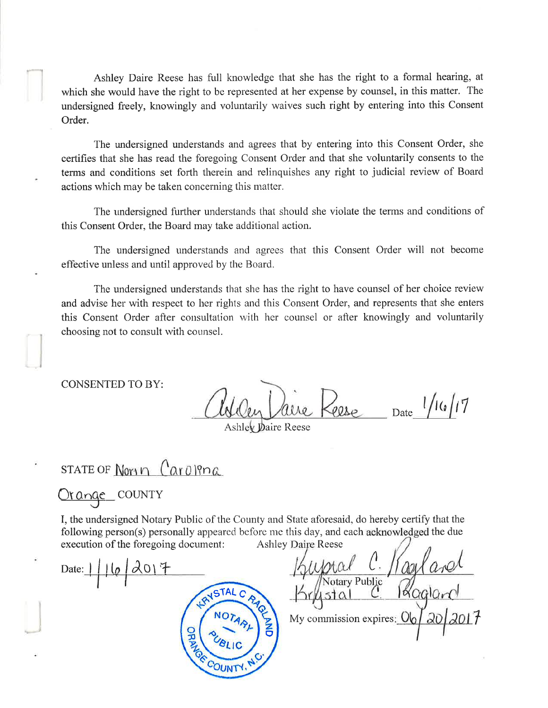Ashley Daire Reese has full knowledge that she has the right to a formal hearing, at which she would have the right to be represented at her expense by counsel, in this matter. The undersigned freely, knowingly and voluntarily waives such right by entering into this Consent Order.

The undersigned understands and agrees that by entering into this Consent Order, she certifies that she has read the foregoing Consent Order and that she voluntarily consents to the terms and conditions set forth therein and relinquishes any right to judicial review of Board actions which may be taken concerning this matter.

The undersigned further understands that should she violate the terms and conditions of this Consent Order, the Board may take additional action.

The undersigned understands and agrees that this Consent Order will not become effective unless and until approved by the Board.

The undersigned understands that she has the right to have counsel of her choice review and advise her with respect to her rights and this Consent Order, and represents that she enters this Consent Order after consultation with her counsel or after knowingly and voluntarily choosing not to consult with counsel.

**CONSENTED TO BY:** 

Date  $1/16/17$  $2080$ 

Ashley Daire Reese

STATE OF North  $(2a0)$ Pna

Urange COUNTY

Date:

I, the undersigned Notary Public of the County and State aforesaid, do hereby certify that the following person(s) personally appeared before me this day, and each acknowledged the due execution of the foregoing document: **Ashley Daire Reese** 

**ISTAL** 品

otary Public  $stdA$ My commission expires: U